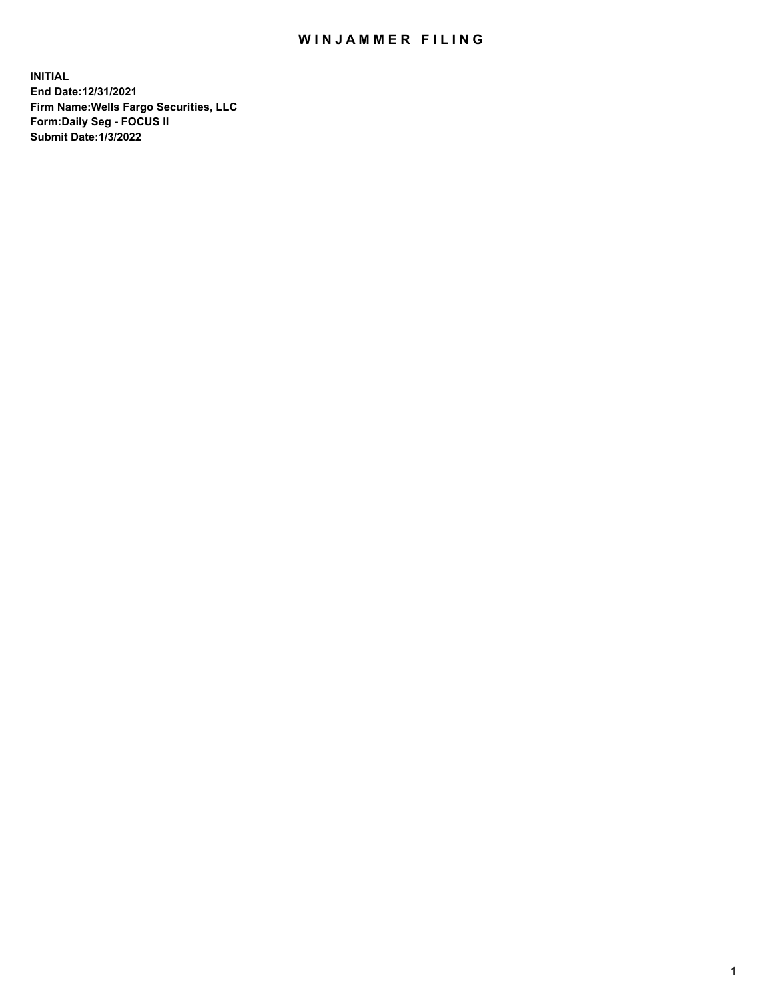## WIN JAMMER FILING

**INITIAL End Date:12/31/2021 Firm Name:Wells Fargo Securities, LLC Form:Daily Seg - FOCUS II Submit Date:1/3/2022**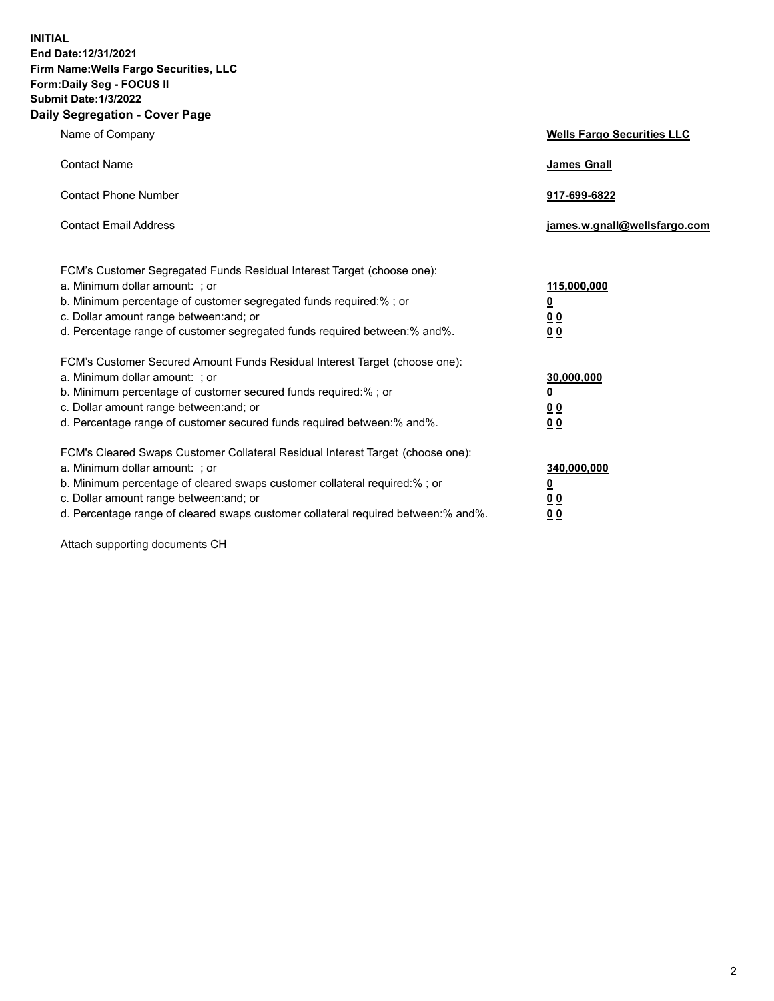**INITIAL End Date:12/31/2021 Firm Name:Wells Fargo Securities, LLC Form:Daily Seg - FOCUS II Submit Date:1/3/2022 Daily Segregation - Cover Page**

| Name of Company                                                                                                                                                                                                                                                                                                               | <b>Wells Fargo Securities LLC</b>                |
|-------------------------------------------------------------------------------------------------------------------------------------------------------------------------------------------------------------------------------------------------------------------------------------------------------------------------------|--------------------------------------------------|
| <b>Contact Name</b>                                                                                                                                                                                                                                                                                                           | <b>James Gnall</b>                               |
| <b>Contact Phone Number</b>                                                                                                                                                                                                                                                                                                   | 917-699-6822                                     |
| <b>Contact Email Address</b>                                                                                                                                                                                                                                                                                                  | james.w.gnall@wellsfargo.com                     |
| FCM's Customer Segregated Funds Residual Interest Target (choose one):<br>a. Minimum dollar amount: ; or<br>b. Minimum percentage of customer segregated funds required:% ; or<br>c. Dollar amount range between: and; or<br>d. Percentage range of customer segregated funds required between:% and%.                        | 115,000,000<br><u>0</u><br>0 <sub>0</sub><br>0 Q |
| FCM's Customer Secured Amount Funds Residual Interest Target (choose one):<br>a. Minimum dollar amount: ; or<br>b. Minimum percentage of customer secured funds required:%; or<br>c. Dollar amount range between: and; or<br>d. Percentage range of customer secured funds required between:% and%.                           | 30,000,000<br><u>0</u><br>00<br>0 <sub>0</sub>   |
| FCM's Cleared Swaps Customer Collateral Residual Interest Target (choose one):<br>a. Minimum dollar amount: ; or<br>b. Minimum percentage of cleared swaps customer collateral required:%; or<br>c. Dollar amount range between: and; or<br>d. Percentage range of cleared swaps customer collateral required between:% and%. | 340,000,000<br><u>0</u><br>0 <sup>0</sup><br>0 Q |

Attach supporting documents CH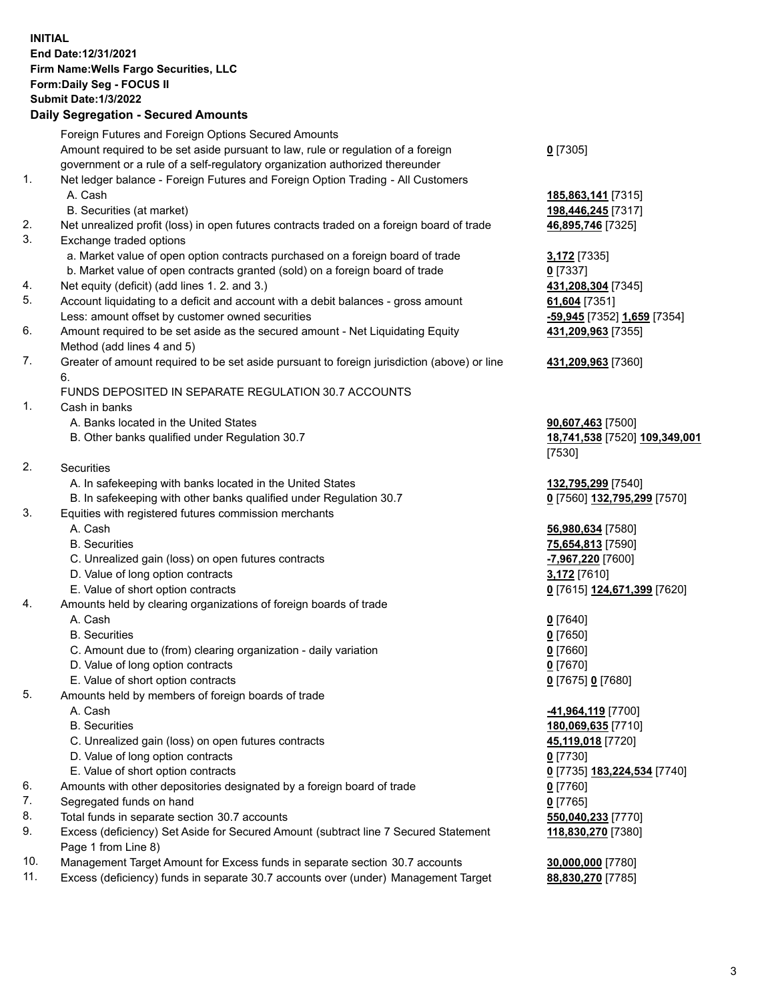**INITIAL End Date:12/31/2021 Firm Name:Wells Fargo Securities, LLC Form:Daily Seg - FOCUS II Submit Date:1/3/2022 Daily Segregation - Secured Amounts** Foreign Futures and Foreign Options Secured Amounts Amount required to be set aside pursuant to law, rule or regulation of a foreign government or a rule of a self-regulatory organization authorized thereunder **0** [7305] 1. Net ledger balance - Foreign Futures and Foreign Option Trading - All Customers A. Cash **185,863,141** [7315] B. Securities (at market) **198,446,245** [7317] 2. Net unrealized profit (loss) in open futures contracts traded on a foreign board of trade **46,895,746** [7325] 3. Exchange traded options a. Market value of open option contracts purchased on a foreign board of trade **3,172** [7335] b. Market value of open contracts granted (sold) on a foreign board of trade **0** [7337] 4. Net equity (deficit) (add lines 1. 2. and 3.) **431,208,304** [7345] 5. Account liquidating to a deficit and account with a debit balances - gross amount **61,604** [7351] Less: amount offset by customer owned securities **-59,945** [7352] **1,659** [7354] 6. Amount required to be set aside as the secured amount - Net Liquidating Equity Method (add lines 4 and 5) **431,209,963** [7355] 7. Greater of amount required to be set aside pursuant to foreign jurisdiction (above) or line 6. **431,209,963** [7360] FUNDS DEPOSITED IN SEPARATE REGULATION 30.7 ACCOUNTS 1. Cash in banks A. Banks located in the United States **90,607,463** [7500] B. Other banks qualified under Regulation 30.7 **18,741,538** [7520] **109,349,001** [7530] 2. Securities A. In safekeeping with banks located in the United States **132,795,299** [7540] B. In safekeeping with other banks qualified under Regulation 30.7 **0** [7560] **132,795,299** [7570] 3. Equities with registered futures commission merchants A. Cash **56,980,634** [7580] B. Securities **75,654,813** [7590] C. Unrealized gain (loss) on open futures contracts **-7,967,220** [7600] D. Value of long option contracts **3,172** [7610] E. Value of short option contracts **0** [7615] **124,671,399** [7620] 4. Amounts held by clearing organizations of foreign boards of trade A. Cash **0** [7640] B. Securities **0** [7650] C. Amount due to (from) clearing organization - daily variation **0** [7660] D. Value of long option contracts **0** [7670] E. Value of short option contracts **0** [7675] **0** [7680] 5. Amounts held by members of foreign boards of trade A. Cash **-41,964,119** [7700] B. Securities **180,069,635** [7710] C. Unrealized gain (loss) on open futures contracts **45,119,018** [7720] D. Value of long option contracts **0** [7730] E. Value of short option contracts **0** [7735] **183,224,534** [7740] 6. Amounts with other depositories designated by a foreign board of trade **0** [7760] 7. Segregated funds on hand **0** [7765] 8. Total funds in separate section 30.7 accounts **550,040,233** [7770] 9. Excess (deficiency) Set Aside for Secured Amount (subtract line 7 Secured Statement Page 1 from Line 8) **118,830,270** [7380] 10. Management Target Amount for Excess funds in separate section 30.7 accounts **30,000,000** [7780]

11. Excess (deficiency) funds in separate 30.7 accounts over (under) Management Target **88,830,270** [7785]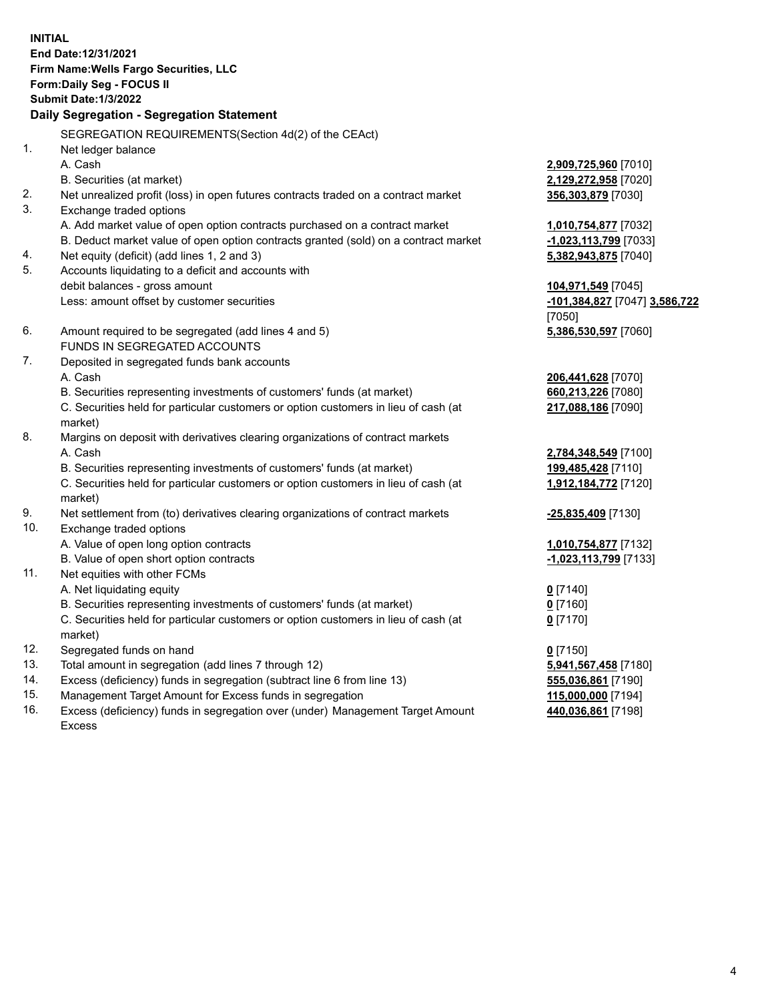**INITIAL End Date:12/31/2021 Firm Name:Wells Fargo Securities, LLC Form:Daily Seg - FOCUS II Submit Date:1/3/2022 Daily Segregation - Segregation Statement** SEGREGATION REQUIREMENTS(Section 4d(2) of the CEAct) 1. Net ledger balance A. Cash **2,909,725,960** [7010] B. Securities (at market) **2,129,272,958** [7020] 2. Net unrealized profit (loss) in open futures contracts traded on a contract market **356,303,879** [7030] 3. Exchange traded options A. Add market value of open option contracts purchased on a contract market **1,010,754,877** [7032] B. Deduct market value of open option contracts granted (sold) on a contract market **-1,023,113,799** [7033] 4. Net equity (deficit) (add lines 1, 2 and 3) **5,382,943,875** [7040] 5. Accounts liquidating to a deficit and accounts with debit balances - gross amount **104,971,549** [7045] Less: amount offset by customer securities **-101,384,827** [7047] **3,586,722** [7050] 6. Amount required to be segregated (add lines 4 and 5) **5,386,530,597** [7060] FUNDS IN SEGREGATED ACCOUNTS 7. Deposited in segregated funds bank accounts A. Cash **206,441,628** [7070] B. Securities representing investments of customers' funds (at market) **660,213,226** [7080] C. Securities held for particular customers or option customers in lieu of cash (at market) **217,088,186** [7090] 8. Margins on deposit with derivatives clearing organizations of contract markets A. Cash **2,784,348,549** [7100] B. Securities representing investments of customers' funds (at market) **199,485,428** [7110] C. Securities held for particular customers or option customers in lieu of cash (at market) **1,912,184,772** [7120] 9. Net settlement from (to) derivatives clearing organizations of contract markets **-25,835,409** [7130] 10. Exchange traded options A. Value of open long option contracts **1,010,754,877** [7132] B. Value of open short option contracts **-1,023,113,799** [7133] 11. Net equities with other FCMs A. Net liquidating equity **0** [7140] B. Securities representing investments of customers' funds (at market) **0** [7160] C. Securities held for particular customers or option customers in lieu of cash (at market) **0** [7170] 12. Segregated funds on hand **0** [7150] 13. Total amount in segregation (add lines 7 through 12) **5,941,567,458** [7180] 14. Excess (deficiency) funds in segregation (subtract line 6 from line 13) **555,036,861** [7190] 15. Management Target Amount for Excess funds in segregation **115,000,000** [7194] 16. Excess (deficiency) funds in segregation over (under) Management Target Amount **440,036,861** [7198]

Excess